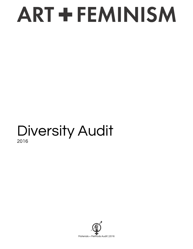### Diversity Audit 2016

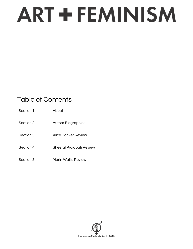### Table of Contents

| Section 1 | About                     |
|-----------|---------------------------|
| Section 2 | <b>Author Biographies</b> |
| Section 3 | Alice Backer Review       |
| Section 4 | Sheetal Prajapati Review  |
| Section 5 | Marin Watts Review        |

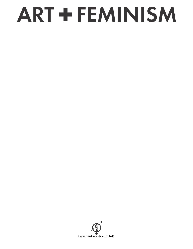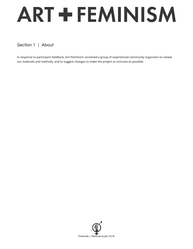### Section 1 | About

In response to participant feedback, Art+Feminism convened a group of experienced community organizers to review our materials and methods, and to suggest changes to make the project as inclusive as possible.

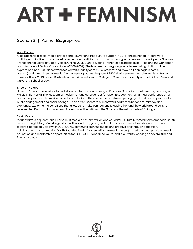### Section 2 | Author Biographies

### Alice Backer

Alice Backer is a social media professional, lawyer and free culture curator. In 2015, she launched Afrocrowd, a multilingual initiative to increase Afrodescendant participation in crowdsourcing initiatives such as Wikipedia. She was Francophonia Editor at Global Voices Online (2005-2006) covering French-speaking blogs of Africa and the Caribbean and a founder of Global Voices Lingua (2006-2007). She has been aggregating and disseminating Haitian online expression since 2005 at her websites www.kiskeacity.com (2005-present) and www.haitianbloggers.com (2010 present) and through social media. On the weekly podcast Legacy of 1804 she interviews notable guests on Haitian current affairs (2013-present). Alice holds a B.A. from Barnard College of Columbia University and a J.D. from New York University School of Law.

### Sheetal Prajapati

Sheetal Prajapati is an educator, artist, and cultural producer living in Brooklyn. She is Assistant Director, Learning and Artists Initiatives at The Museum of Modern Art and co-organizer for Open Engagement, an annual conference on art and social practice. Her work as an educator looks at the intersections between pedagogical and artistic practice for public engagement and social change. As an artist, Sheetal's current work addresses notions of intimacy and exchange, exploring the conditions that allow us to make connections to each other and the world around us. She received her BA from Northwestern University and her MA from the School of the Art Institute of Chicago.

### Marin Watts

Marin Watts is a queer trans Filipino multimedia artist, filmmaker, and educator. Culturally rooted in the American South, he has a long history of working collaboratively with art, youth, and social justice communities. His goal is to work towards increased visibility for LGBTQGNC communities in the media and creative arts through education, collaboration, and art making. Watts founded Media Masters Alliance (mediama.org) a media project providing media education and mentorship opportunities for LGBTQGNC and allied youth, and is currently working on several film and fine art projects.

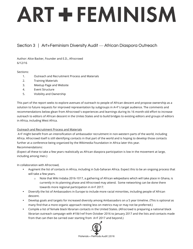### Section 3 | Art+Feminism Diversity Audit — African Diaspora Outreach

Author: Alice Backer, Founder and E.D., Afrocrowd 6/12/16

### Sections:

- 1. Outreach and Recruitment Process and Materials
- 2. Training Materials
- 3. Meetup Page and Website
- 4. Event Structure
- 5. Visibility and Ownership

This part of the report seeks to explore avenues of outreach to people of African descent and propose ownership as a solution to future requests for improved representation by subgroups in A+F's target audience. The comments and recommendations below glean from Afrocrowd's experiences and learnings during its 16 month-old effort to increase outreach to editors of African descent in the Unites States and to build bridges to existing editors and groups of editors in Africa, including West Africa.

### Outreach and Recruitment Process and Materials

A+F might benefit from an intensification of ambassador recruitment in non-western parts of the world, including Africa. Afrocrowd itself is still identifying contacts in that part of the world and is hoping to develop those contacts further at a conference being organized by the Wikimedia Foundation in Africa later this year. Recommendations:

(Expect all these to take a few years realistically as African diaspora participation is low in the movement at large, including among men.)

In collaboration with Afrocrowd,

- Augment the list of contacts in Africa, including in Sub-Saharan Africa. Expect this to be an ongoing process that will take a few years.
	- $\circ$  Note that Wiki Indaba 2016-1017, a gathering of African wikipedians which will take place in Ghana, is currently in its planning phase and Afrocrowd may attend. Some networking can be done there towards more regional participation in A+F 2017.
- Diversify the list of Ambassadors in Europe to include more racial minorities, including people of African descent.
- Develop goals and targets for increased diversity among Ambassadors on a 5 year timeline. (This is optional as many find that a more organic approach resting less on metrics may or may not be preferred.)
- Compile a list of female black librarian contacts in the United States. (Afrocrowd is preparing a national black librarian outreach campaign with #1lib1ref from October 2016 to January 2017 and the lists and contacts made from that can then be carried over starting from A+F 2017 and beyond.)

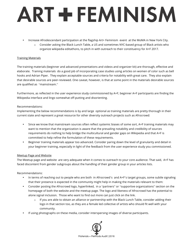- Increase Afrodescendant participation at the flagship Art+ Feminism event at the MoMA in New York City.
	- o Consider asking the Black Lunch Table, a US and sometimes NYC-based group of Black artists who organize wikipedia editathons, to pitch in with outreach to their constituency for A+F 2017.

### Training Materials

The training materials (beginner and advanced presentations and videos and organizer kit) are thorough, effective and elaborate. Training materials do a good job of incorporating case studies using articles on women of color such as bell hooks and Adrian Piper. They explain acceptable sources and criteria for notability with great care. They also explain that desirable sources are peer-reviewed. One caveat, however, is that at some point in the materials desirable sources are qualified as "mainstream."

Furthermore, as reflected in the user experience study commissioned by A+F, beginner A+F participants are finding the Wikipedia interface and lingo somewhat off-putting and disorienting.

### Recommendations:

Implementing the below recommendations is by and large optional as training materials are pretty thorough in their current state and represent a great resource for other diversity outreach projects such as Afrocrowd:

- Since we know that mainstream sources often reflect systemic biases of some sort, A+F training materials may want to mention that the organization is aware that the prevailing notability and credibility of sources requirements do nothing to help bridge the multicultural and gender gaps on Wikipedia and that A+F is committed to help refine the formulation of these requirements.
- Beginner training materials appear too advanced. Consider paring down the level of granularity and detail in your beginner training, especially in light of the feedback from the user experience study you commissioned.

### Meetup Page and Website

The Meetup page and website are very adequate when it comes to outreach to your core audience. That said, A+F has faced discontent from gender subgroups about the handling of their gender group in your articles lists.

### Recommendations:

- In terms of reaching out to people who are both in Afrocrowd's and A+F's target groups, some subtle signaling that their presence is expected in the community might help in making the materials relevant to them:
- Consider posting the Afrocrowd logo, hyperlinked, in a "partners" or "supportive organizations" section on the homepage of both the website and the meetup page. The logo and likeness of Afrocrowd has the potential to alone signal inclusion. Those who want to find out more can just click on the link.
	- $\circ$  If you are able to obtain an alliance or partnership with the Black Lunch Table, consider adding their logo in that section too, as they are a female led collective of artists who should fit well with your community.
- If using photographs on these media, consider interspersing images of diverse participants.

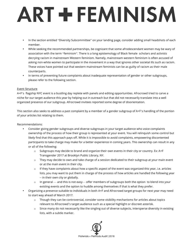- In the section entitled "Diversity Subcommittee" on your landing page, consider adding small headshots of each member.
- While seeking the recommended partnerships, be cognizant that some afrodescendant women may be wary of association with the term "feminism". There is a long epistemology of Black female scholars and activists decrying racism in mainstream Western feminism. Namely, mainstream western feminism is often accused of asking non-white women to participate in the movement in a way that ignores other societal ills such as racism. These voices have pointed out that western mainstream feminists can be as guilty of racism as their male counterparts.
- In terms of preventing future complaints about inadequate representation of gender or other subgroups, please refer to the following section.

### Event Structure

A+F's flagship NYC event is a bustling day replete with panels and editing opportunities. Afrocrowd tried to carve a niche for our target audience this year by helping out in outreach but that did not necessarily translate into a well organized presence of our subgroup. Afrocrowd invitees reported some degree of disorientation.

This section also seeks to address a past complaint by a member of a gender subgroup of A+F's handling of the portion of your articles list relating to them.

Recommendations:

- Consider giving gender subgroups and diverse subgroups in your target audience who voice complaints ownership of the process of how their group is represented at your event. You will relinquish some control but likely find that this approach pays off. While it is impossible to avoid complaints, empowering discontented participants to take charge may make for a better experience in coming years. This ownership can result in any or all of the following:
	- $\circ$  Subgroups may decide to brand and organize their own events in their city or country. Ex: A+F Transgender 2017 at Brooklyn Public Library, NY.
	- $\circ$  They may decide to own and take charge of a session dedicated to their subgroup at your main event or at the main event in their city.
	- $\circ$  If they have complaints about how a specific aspect of the event was organized this year, i.e. articles lists, you may want to put them in charge of the process of how articles are handled the following year -- in their own city or globally.
	- $\circ$  In general and this is not easy— offer members of subgroups both the option to blend into your existing events and the option to huddle among themselves if that is what they prefer.
- Organizing a presence suitable to individuals in both A+F and Afrocrowd target groups for next year may need to start way ahead of March 2017.
	- $\circ$  Though they can be controversial, consider some visibility mechanisms for articles about topics relevant to Afrocrowd's target audience such as a special highlight or discreet asterisk.
	- o Since many do not necessarily like the singling out of diverse subjects, intersperse diversity in existing lists, with a subtle marker.

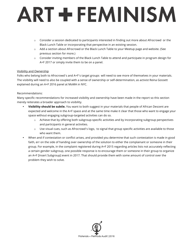- $\circ$  Consider a session dedicated to participants interested in finding out more about Afrocrowd or the Black Lunch Table or incorporating that perspective in an existing session.
- o Add a section about Afrocrowd or the Black Lunch Table to your Meetup page and website. (See previous section for more.)
- $\circ$  Consider inviting members of the Black Lunch Table to attend and participate in program design for A+F 2017 or simply invite them to be on a panel.

### Visibility and Ownership

Folks who belong both to Afrocrowd's and A+F's target groups will need to see more of themselves in your materials. The visibility will need to also be coupled with a sense of ownership or self-determination, as activist Reina Gossett explained during an A+F 2016 panel at MoMA in NYC.

### Recommendations:

Many specific recommendations for increased visibility and ownership have been made in the report so this section merely reiterates a broader approach to visibility.

- **Visibility should be subtle.** You want to both suggest in your materials that people of African Descent are expected and welcome in the A+F space and at the same time make it clear that those who want to engage your space without engaging subgroup-targeted activities can do so.
	- o Achieve that by offering both subgroup-specific activities and by incorporating subgroup perspectives and participants in general activities.
	- o Use visual cues, such as Afrocrowd's logo, to signal that group specific activities are available to those who want them.
- When and if contestation or conflict arises, and provided you determine that such contestation is made in good faith, err on the side of handing over ownership of the solution to either the complainant or someone in their group. For example, in the complaint registered during A+F 2015 regarding articles lists not accurately reflecting a certain gender subgroup, one possible response is to encourage them or someone in their group to organize an A+F [Insert Subgroup] event in 2017. That should provide them with some amount of control over the problem they wish to solve.

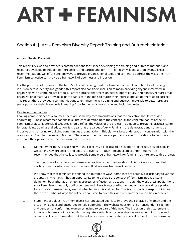### Section 4 | Art + Feminism Diversity Report: Training and Outreach Materials

### Author: Sheetal Prajapati

This report reviews and provides recommendations for further developing the training and outreach materials and resources available to independent organizers and participants for Art + Feminism wikipedia-thon events. These recommendations will offer concrete ways to provide organizational tools and content to address the ways the Art + Feminism collective can provide a framework of openness and inclusion.

For the purposes of this report, the term "inclusion" is being used in a broader context. In addition to addressing inclusion across identity and gender, this report also considers inclusion to mean providing anyone interested in organizing with a complete set of tools. Part of a project that relies on peer support, equity, and honesty requires that organizational materials provide all participants with the tools to match their interest and set up them up to succeed. This report then, provides recommendations to enhance the key training and outreach materials to better prepare participants for their chosen role in making Art + Feminism a sustainable and inclusive project.

### Key Recommendations

Looking across this set of resources, there are some key recommendations that the collective should consider addressing. These recommendations take into consideration both the conceptual and concrete nature of the Art + Feminism project. Materials distributed should reflect the values of the project in addition to providing practical content for organizing, training and education. It is clear that the values of Art + Feminism are democratic and strive to be inclusive and nurturing to building communities around action. This clarity is best understood in conversation with the co-organizer, Sian, Jacqueline and Michael. These recommendations are partially drawn from a desire to find ways to articulate their passion and openness around this work.

1. Define feminism. As discussed with the collective, it is critical to be as open and inclusive as possible in welcoming new organizers and editors to events. Though it might seem counter-intuitive, it is recommended that the collective provide some type of framework for feminism as it relates to this project.

The organizer kit articulates feminism as a practice rather than an idea. This indicates a thoughtful starting point for what can be an open and fluid working framework for feminism.

We know that that feminism is defined in a number of ways, some that are actually exclusionary to various groups. Art + Feminism has an opportunity to help shape the concept of feminism, not as a static definition, but rather as an ongoing process of reflection and action. Through the work of wikipedia-thons, Art + Feminism is not only adding content and diversifying contributors but actually providing a platform for a more expansive dialog around what feminism is and can be. This is an important responsibility and there are number of ways the collective can start to build this kind of framework with allies in practice.

2. Statement of Values. Art + Feminism's current stated goal is to improve the coverage of women and the arts on Wikipedia and encourage female editorship. The website goes on to list transgender, cisgender, and gender nonconforming women as invited to be part of this wok. The inclusion of this statement is important but may not be enough to adequately articulate the collective's values around inclusion and openness. It is recommended that the collective identify and state concise values for Art + Feminism on

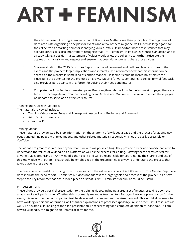their home page. A strong example is that of Black Lives Matter – see their principles. The organizer kit does articulate organizing principles for events and a few of them might be well suited as larger goals for the collective as a starting point for identifying values. While its important not to take stances that may alienate others, it is also important to recognize that Art + Feminism, in its own existence is an action and is already taking a position – a statement of values would allow the collective to further articulate their approach to inclusivity and respect and ensure that potential organizers share those values.

- 3. Share evaluation. The 2015 Outcomes Report is a useful document and outlines clear outcomes of the events and the project's larger implications and interests. It is recommended that this information be shared on the website in some kind of concise manner – it seems it could be incredibly effective for illustrating the potential for the project as it grows. Moving forward, continuing to collect formal feedback also provides participants with a forum for voicing their needs and interest.
- 4. Complete the Art + Feminism meetup page. Browsing through the Art + Feminism meet up page, there are tabs with incomplete information including Event Archive and Outcomes. It is recommended these pages be updated to serve as an effective resource.

### Training and Outreach Materials

The materials reviewed include:

- Training Videos on YouTube and Powerpoint Lesson Plans, Beginner and Advanced
- Art + Feminism website
- Organizer Kit

### Training Videos

These materials provide step-by-step information on the anatomy of a wikipedia page and the process for adding new pages and editing pages with text, images, and other related materials responsibly. They are easily accessible on YouTube.

The videos are great resources for anyone that is new to wikipedia editing. They provide a clear and concise narrative to understand the values of wikipedia as a platform as well as the process for editing. Viewing them seems critical for anyone that is organizing an A+F wikipedia-thon event and will be responsible for coordinating the sharing and use of this knowledge with others. That should be emphasized in the organizer kit as a way to understand the process that takes place at these events.

The one video that might be missing from this series is on the values and goals of Art +Feminism. The Gender Gap piece does indicate the need for Art + Feminism but does not address the larger goals and process of the project. As a next step to the key recommendations, a video piece on "What is Art + Feminism?" or similar could be useful.

### PPT Lesson Plans

These slides provide a parallel presentation to the training videos, including a great set of images breaking down the anatomy of a wikipedia page. Whether this is primarily meant as teaching tool for organizers or a presentation for the event, it is recommended a companion text be developed to complement the visual content. This would allow users to have working definitions of terms as well as fuller explanations of processed (possibly links to other useful resources as well). For example, in looking at the slide presentation, I am searching for a complete definition of "sandbox". If I am new to wikipedia, this might be an unfamiliar term for me.

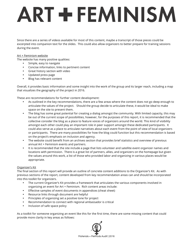Since there are a series of videos available for most of this content, maybe a transcript of those pieces could be excerpted into companion text for the slides. This could also allow organizers to better prepare for training sessions during the event.

### Art + Feminism website

The website has many positive qualities:

- Simple, easy to navigate
- Concise information, links to pertinent content
- Great history section with video
- Updated press page
- Blog has relevant content

Overall, it provides basic information and some insight into the work of the group and its larger reach, including a map that visualizes the geography of the project in 2016.

These are recommendations for further content development:

- As outlined in the key recommendations, there are a few areas where the content does not go deep enough to articulate the values of the project. Should the group decide to articulate these, it would be ideal to make space on the site to present them.
- The blog has some great potential for creating a dialog amongst the community. With limited capacity, this may be out of the current scope of possibilities, however, for the purposes of this report, it is recommended that the collective consider the blog as a place to feature voices of organizers around the world. This kind of visibility amongst each other could play an important role in peer support amongst these dedicated participants. It could also serve as a place to articulate narratives about each event from the point of view of local organizers or participants. There are many possibilities for how the blog could function but this recommendation is based on the project's emphasis on inclusion and agency.
- The website could benefit from an archives section that provides brief statistics and overview of previous annual Art + Feminism events and partners.
- It is recommended that the site include a page that lists volunteer and satellite event organizer names and locations with permission. There is a great list of partners, allies, and organizers on the homepage but given the values around this work, a list of those who provided labor and organizing in various places would be appropriate.

### Organizer's Kit

The final section of this report will provide an outline of concrete content additions to the Organizer's Kit. As with previous sections of the report, content developed from key recommendation areas can and should be incorporated into this toolkit for organizers.

- The current Organizer's Kit provides a framework that articulates the various components involved in organizing an event for Art + Feminism. Rich content areas include:
- Effective samples of event documents in appendices (cheat sheet)
- Resource links through document are helpful
- Principles of organizing set a positive tone for project
- Recommendation to connect with regional ambassador is critical
- Inclusion of safe space policy

As a toolkit for someone organizing an event like this for the first time, there are some missing content that could provide more clarity in key areas as follows:

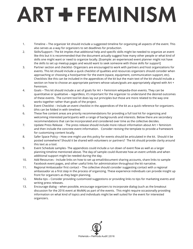- 1. Timeline The organizer kit should include a suggested timeline for organizing all aspects of the event. This also serves as a way for organizers to set deadlines for production.
- 2. Skills/Support– The kit implies that additional help and specific skills might be needed to organize an event like this but it is recommended that the document actually suggest how many other people or what kind of skills one might want or need to organize locally. [Example: an experienced event planner might not have the skills to set up meetup pages and would want to seek someone with those skills for support]
- 3. Partner section and checklist- Organizers are encouraged to work with partners and host organizations for events. This kit should include a quick checklist of qualities and resources organizers should consider when approaching or choosing a host/partner for the event (space, equipment, communication support, etc). Checklists like this can be included in the appendices of the kit but the main text of the kit should include a section on how to choose an appropriate partners whose values/goals are appropriately aligned with Art + Feminism.
- 4. Goals This kit should include a set of goals for Art + Feminism wikipedia-thon events. They can be quantitative or qualitative – regardless, it's important for the organizer to understand the desired outcomes of these events. The current tool kit does lay out principles but those are more related to the way one works together rather than goals of the project.
- 5. Event Checklist Include an event checklist in the appendices of the kit as a quick reference for organizers. (this can be folded in with timeline)
- 6. These five content areas are priority recommendations for providing a full tool kit for organizing and welcoming interested participants with a range of backgrounds and interests. Below there are secondary recommendations that can be incorporated and considered over time as the collective decides.
- 7. Update Press Release The press release should include more robust information about Art + feminism and then include the concrete event information. Consider revising the template to provide a framework for customizing content locally.
- 8. Safer Space Policy How one might use this policy for events should be articulated in the kit. Should it be posted somewhere? Should it be shared with volunteers or partners? The kit should provide clarity around this text as a tool.
- 9. Event Schedule samples- The appendices could include a run down of event flow as well as a larger planning timeline mentioned above. The day-of sample could illustrate how an event unfolds and when additional support might be needed during the day.
- 10. Add Resources Include links on how to set up email/document sharing accounts, share links to sample Facebook event pages, and other useful links for administration throughout the kit narrative.
- 11. Regional Ambassador first contact The collective should consider suggesting contact with a regional ambassador as a first step in the process of organizing. These experience individuals can provide insight up front for organizers as they begin planning.
- 12. Media tips Consider providing customized suggestions or providing links to tips for marketing events and writing press releases.
- 13. Encourage dialog when possible, encourage organizers to incorporate dialog (such as the breakout discussion for the 2016 event at MoMA) as part of the events. This might require occasionally providing information on what kind of topics and individuals might be well suited for the event for interested organizers.

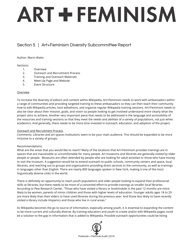### Section 5 | Art+Feminism Diversity Subcommittee Report

### Author: Marin Watts

### Sections:

- 1. Overview
- 2. Outreach and Recruitment Process
- 3. Training and Outreach Materials
- 4. Meet-Up Page and Website
- 5. Event Structure

### **Overview**

To increase the diversity of editors and content within Wikipedia, Art+Feminism needs to work with ambassadors within a range of communities and providing targeted training to these ambassadors so they can then teach their community how to edit Wikipedia articles, host editathons, and organize regular Wikipedia training sessions. Art+Feminism needs to also be clear about their mission, goals, and vision so people looking to get involved understand more clearly what the project aims to achieve. Another very important piece that needs to be addressed is the language and accessibility of the resources and training sessions so that they meet the needs and abilities of a variety of populations, not just white academics. And generally, there needs to be more time invested in outreach, education, and adoption of the project.

### Outreach and Recruitment Process

Comments: Libraries and art spaces institutions seem to be your main audience. This should be expanded to be more inclusive to a variety of groups.

### Recommendations:

What are the areas that you would like to reach? Many of the locations that Art+Feminism provides trainings are in spaces that are inaccessible or uncomfortable for many people. Art museums and libraries are generally visited by older people or people. Museums are often attended by people who are looking for adult activities or those who have money to visit the museum. A suggestion would be to extend outreach to public schools, community centers and space, local libraries, and reaching out to groups and organizations providing direct services to the community, as well as trainings in languages other than English. There are nearly 800 languages spoken in New York, making it one of the most linguistically diverse cities in the world.

There is definitely an opportunity to reach youth populations and older people looking to expand their professional skills at libraries, but there needs to be more of a concerted effort to provide trainings at smaller local libraries. According to Pew Research Center, "Those who have visited a library or bookmobile in the past 12 months are more likely to be women, parents of minor children and those with higher levels of education. Younger adults ages 18 to 29 are more likely than their elders to have used libraries during the previous year. And those less likely to have recently visited a library include Hispanics and those who live in rural areas."

As Wikipedia becomes the go to source of information, especially among youth, it is essential to expanding the content to be more current and culturally diverse. By training educators and youth to create and/or edit Wikipedia pages could be a solution to the gap in information that is added to Wikipedia. Possible outreach opportunities could be listing

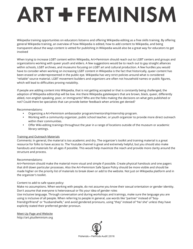Wikipedia training opportunities on educators listservs and offering Wikipedia editing as a free skills training. By offering general Wikipedia training, an overview of how Wikipedia is edited, how to add content to Wikipedia, and being transparent about the ways content is vetted for publishing in Wikipedia would also be a great way for educators to get involved

When trying to increase LGBT content within Wikipedia, Art+Feminism should reach out to LGBT centers and groups and organizations working with queer youth and elders. A few suggestions would be to reach out to gay straight alliances within schools, LGBT archives, and museums focusing on LGBT art and cultural production. A few hurdles you would have to consider when working on increasing LGBT content in Wikipedia is the fact that historically, queer content has been erased or underrepresented in the public eye. Wikipedia has very strict policies around what is considered "reliable" source material. LGBT movement builders and organizers are often not household names or public figures, which will lead to difficulties proving notability.

If people are adding content into Wikipedia, that is not getting accepted or that is constantly being challenged, the adoption of Wikipedia editorship will be low. Are there Wikipedia gatekeepers that are brown, black, queer, differently abled, non-english speaking, poor, or immigrants? Who are the folks making the decisions on what gets published or not? Could there be specialists that can provide better feedback when articles get denied?

### Recommendations:

- Organizing a Art+Feminism ambassador program/mentorship/internship program.
- Working with a community organizer, public school teacher, or youth organizer to provide more direct outreach within their communities.
- Offer Wiki-editing trainings throughout the year in a range of locations outside of the museum or academic library settings.

### Training and Outreach Materials

Comments: In general, the material is too academic and dry. The organizer's toolkit and training material is a great resource for folks to have access to. The Youtube channel is great and extremely helpful, but you should also make handouts and materials for all ages if possible. This would help maximize the reach and provide more clarity around the structure and process.

### Recommendations:

Art+Feminism should make the material more visual and simple if possible. Create physical handouts and one pagers that drill down particular processes. Also the Art+Feminism Safe Space Policy should be more visible and should be made higher on the priority list of materials to break down or add to the website. Not just on Wikipedia platform and in the organizer's toolkit.

### Content to add to safe space policy:

Make no assumptions. When working with people, do not assume you know their sexual orientation or gender identity. Don't assume that everyone is heterosexual or fits your idea of gender roles

Use inclusive language. Through conversation and during workshops and trainings, make sure the language you are using is inclusive of all people. When referring to people in general, use words like "partner" instead of "boyfriend/girlfriend" or "husband/wife," and avoid gendered pronouns, using "they" instead of "he/ she" unless they have explicitly stated their preferred gender pronoun.

Meet-Up Page and Website http://art.plusfeminism.org

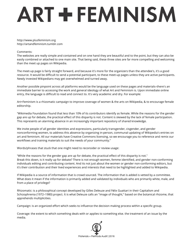http://www.plusfeminism.org http://artandfeminism.tumblr.com

### Comments:

The websites are really simple and contained and on one hand they are beautiful and to the point, but they can also be easily combined or attached to one main site. That being said, these three sites are far more compelling and welcoming than the meet up pages on Wikipedia.

The meet-up page is fairly straight forward, and because it's more for the organizers than the attendee's, it's a good resource. It would be difficult to send a potential participant, to these meet-up pages unless they are active participants. Newly invested Wikipedians may get overwhelmed and turned away.

Another possible pinpoint across all platforms would be the language used on these pages and materials–there's an immediate barrier to accessing the work and general ideology of what Art and Feminism is. Upon immediate online entry, the language is difficult to read and connect to. It's very academic and dry. For example:

Art+Feminism is a rhizomatic campaign to improve coverage of women & the arts on Wikipedia, & to encourage female editorship.

"Wikimedia Foundation found that less than 10% of its contributors identify as female. While the reasons for the gender gap are up for debate, the practical effect of this disparity is not. Content is skewed by the lack of female participation. This represents an alarming absence in an increasingly important repository of shared knowledge.

We invite people of all gender identities and expressions, particularly transgender, cisgender, and gender nonconforming women, to address this absence by organizing in-person, communal updating of Wikipedia's entries on art and feminism. All our materials have Creative Commons licensing, so we encourage you to reference and remix our workflows and training materials to suit the needs of your community."

Words/phrases that stuck that one might need to reconsider or review usage:

"While the reasons for the gender gap are up for debate, the practical effect of this disparity is not." Break this down, is it really up for debate? There is not enough women, femme identified, and gender non-conforming individuals editing and contributing content. And its not just about the women or gender non-conforming editors, but it's their contribution and their lived experiences and interests that need to be highlighted and added to Wikipedia.

If Wikipedia is a source of information that is crowd sourced. The information that is added is vetted by a committee. What does it mean if the information is primarily added and validated by individuals who are primarily white, male, and from a place of privilege?

Rhizomatic: is a philosophical concept developed by Gilles Deleuze and Félix Guattari in their Capitalism and Schizophrenia (1972–1980) project. It is what Deleuze calls an "image of thought," based on the botanical rhizome, that apprehends multiplicities.

Campaign: is an organized effort which seeks to influence the decision making process within a specific group.

Coverage: the extent to which something deals with or applies to something else. the treatment of an issue by the media.